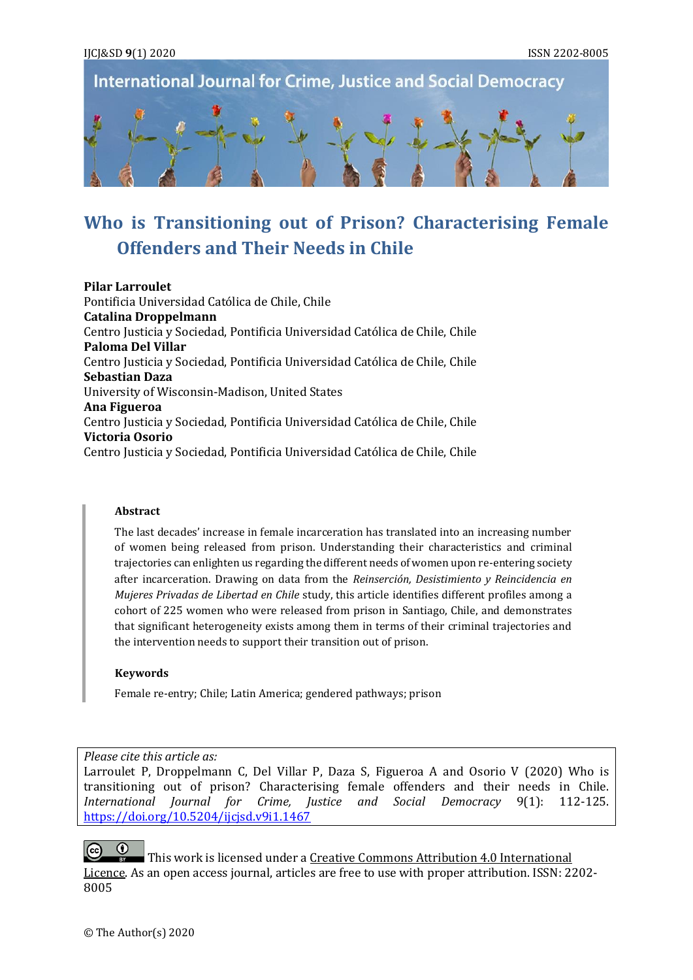#### IJCJ&SD **9**(1) 2020 ISSN 2202-8005

**International Journal for Crime, Justice and Social Democracy** 



# **Who is Transitioning out of Prison? Characterising Female Offenders and Their Needs in Chile**

**Pilar Larroulet** Pontificia Universidad Católica de Chile, Chile **Catalina Droppelmann** Centro Justicia y Sociedad, Pontificia Universidad Católica de Chile, Chile **Paloma Del Villar** Centro Justicia y Sociedad, Pontificia Universidad Católica de Chile, Chile **Sebastian Daza** University of Wisconsin-Madison, United States **Ana Figueroa** Centro Justicia y Sociedad, Pontificia Universidad Católica de Chile, Chile **Victoria Osorio** Centro Justicia y Sociedad, Pontificia Universidad Católica de Chile, Chile

#### **Abstract**

The last decades' increase in female incarceration has translated into an increasing number of women being released from prison. Understanding their characteristics and criminal trajectories can enlighten us regarding the different needs of women upon re-entering society after incarceration. Drawing on data from the *Reinserción, Desistimiento y Reincidencia en Mujeres Privadas de Libertad en Chile* study, this article identifies different profiles among a cohort of 225 women who were released from prison in Santiago, Chile, and demonstrates that significant heterogeneity exists among them in terms of their criminal trajectories and the intervention needs to support their transition out of prison.

#### **Keywords**

Female re-entry; Chile; Latin America; gendered pathways; prison

*Please cite this article as:*

Larroulet P, Droppelmann C, Del Villar P, Daza S, Figueroa A and Osorio V (2020) Who is transitioning out of prison? Characterising female offenders and their needs in Chile. *International Journal for Crime, Justice and Social Democracy* 9(1): 112-125. <https://doi.org/10.5204/ijcjsd.v9i1.1467>

This work is licensed under a Creative Commons Attribution 4.0 International [Licence.](https://creativecommons.org/licenses/by/4.0/) As an open access journal, articles are free to use with proper attribution. ISSN: 2202- 8005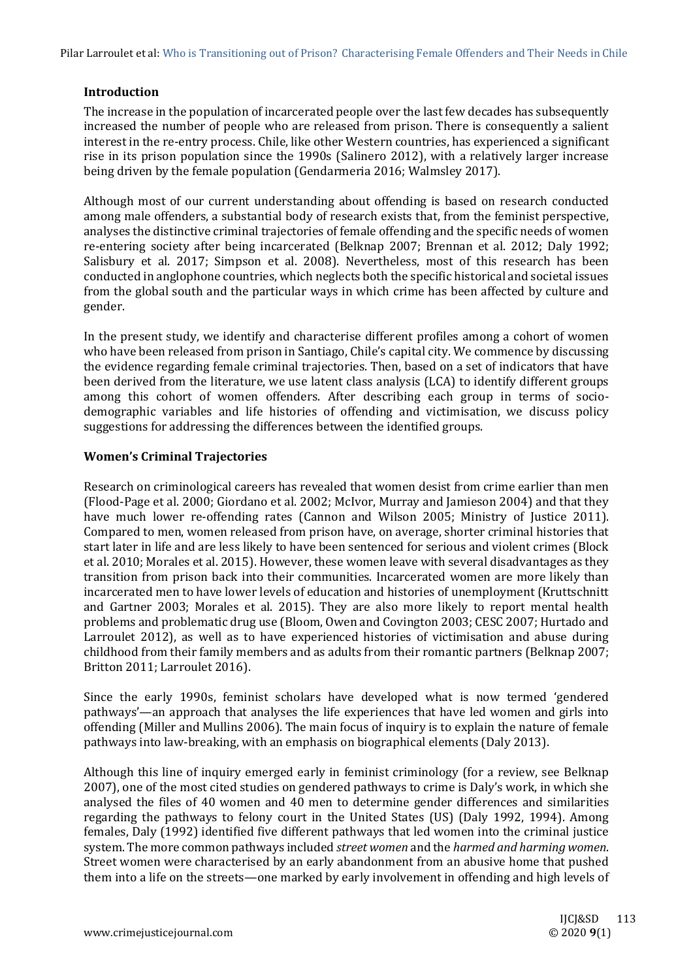#### **Introduction**

The increase in the population of incarcerated people over the last few decades has subsequently increased the number of people who are released from prison. There is consequently a salient interest in the re-entry process. Chile, like other Western countries, has experienced a significant rise in its prison population since the 1990s (Salinero 2012), with a relatively larger increase being driven by the female population (Gendarmeria 2016; Walmsley 2017).

Although most of our current understanding about offending is based on research conducted among male offenders, a substantial body of research exists that, from the feminist perspective, analyses the distinctive criminal trajectories of female offending and the specific needs of women re-entering society after being incarcerated (Belknap 2007; Brennan et al. 2012; Daly 1992; Salisbury et al. 2017; Simpson et al. 2008). Nevertheless, most of this research has been conducted in anglophone countries, which neglects both the specific historical and societal issues from the global south and the particular ways in which crime has been affected by culture and gender.

In the present study, we identify and characterise different profiles among a cohort of women who have been released from prison in Santiago, Chile's capital city. We commence by discussing the evidence regarding female criminal trajectories. Then, based on a set of indicators that have been derived from the literature, we use latent class analysis (LCA) to identify different groups among this cohort of women offenders. After describing each group in terms of sociodemographic variables and life histories of offending and victimisation, we discuss policy suggestions for addressing the differences between the identified groups.

# **Women's Criminal Trajectories**

Research on criminological careers has revealed that women desist from crime earlier than men (Flood-Page et al. 2000; Giordano et al. 2002; McIvor, Murray and Jamieson 2004) and that they have much lower re-offending rates (Cannon and Wilson 2005; Ministry of Justice 2011). Compared to men, women released from prison have, on average, shorter criminal histories that start later in life and are less likely to have been sentenced for serious and violent crimes (Block et al. 2010; Morales et al. 2015). However, these women leave with several disadvantages as they transition from prison back into their communities. Incarcerated women are more likely than incarcerated men to have lower levels of education and histories of unemployment (Kruttschnitt and Gartner 2003; Morales et al. 2015). They are also more likely to report mental health problems and problematic drug use (Bloom, Owen and Covington 2003; CESC 2007; Hurtado and Larroulet 2012), as well as to have experienced histories of victimisation and abuse during childhood from their family members and as adults from their romantic partners (Belknap 2007; Britton 2011; Larroulet 2016).

Since the early 1990s, feminist scholars have developed what is now termed 'gendered pathways'—an approach that analyses the life experiences that have led women and girls into offending (Miller and Mullins 2006). The main focus of inquiry is to explain the nature of female pathways into law-breaking, with an emphasis on biographical elements (Daly 2013).

Although this line of inquiry emerged early in feminist criminology (for a review, see Belknap 2007), one of the most cited studies on gendered pathways to crime is Daly's work, in which she analysed the files of 40 women and 40 men to determine gender differences and similarities regarding the pathways to felony court in the United States (US) (Daly 1992, 1994). Among females, Daly (1992) identified five different pathways that led women into the criminal justice system. The more common pathways included *street women* and the *harmed and harming women*. Street women were characterised by an early abandonment from an abusive home that pushed them into a life on the streets—one marked by early involvement in offending and high levels of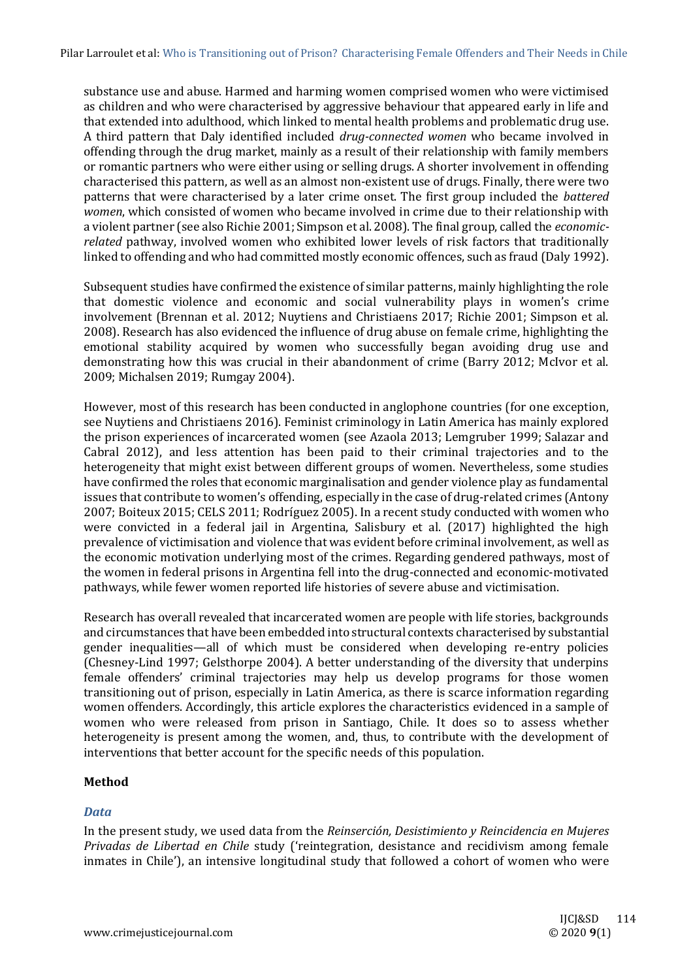substance use and abuse. Harmed and harming women comprised women who were victimised as children and who were characterised by aggressive behaviour that appeared early in life and that extended into adulthood, which linked to mental health problems and problematic drug use. A third pattern that Daly identified included *drug-connected women* who became involved in offending through the drug market, mainly as a result of their relationship with family members or romantic partners who were either using or selling drugs. A shorter involvement in offending characterised this pattern, as well as an almost non-existent use of drugs. Finally, there were two patterns that were characterised by a later crime onset. The first group included the *battered women*, which consisted of women who became involved in crime due to their relationship with a violent partner (see also Richie 2001; Simpson et al. 2008). The final group, called the *economicrelated* pathway, involved women who exhibited lower levels of risk factors that traditionally linked to offending and who had committed mostly economic offences, such as fraud (Daly 1992).

Subsequent studies have confirmed the existence of similar patterns, mainly highlighting the role that domestic violence and economic and social vulnerability plays in women's crime involvement (Brennan et al. 2012; Nuytiens and Christiaens 2017; Richie 2001; Simpson et al. 2008). Research has also evidenced the influence of drug abuse on female crime, highlighting the emotional stability acquired by women who successfully began avoiding drug use and demonstrating how this was crucial in their abandonment of crime (Barry 2012; McIvor et al. 2009; Michalsen 2019; Rumgay 2004).

However, most of this research has been conducted in anglophone countries (for one exception, see Nuytiens and Christiaens 2016). Feminist criminology in Latin America has mainly explored the prison experiences of incarcerated women (see Azaola 2013; Lemgruber 1999; Salazar and Cabral 2012), and less attention has been paid to their criminal trajectories and to the heterogeneity that might exist between different groups of women. Nevertheless, some studies have confirmed the roles that economic marginalisation and gender violence play as fundamental issues that contribute to women's offending, especially in the case of drug-related crimes (Antony 2007; Boiteux 2015; CELS 2011; Rodríguez 2005). In a recent study conducted with women who were convicted in a federal jail in Argentina, Salisbury et al. (2017) highlighted the high prevalence of victimisation and violence that was evident before criminal involvement, as well as the economic motivation underlying most of the crimes. Regarding gendered pathways, most of the women in federal prisons in Argentina fell into the drug-connected and economic-motivated pathways, while fewer women reported life histories of severe abuse and victimisation.

Research has overall revealed that incarcerated women are people with life stories, backgrounds and circumstances that have been embedded into structural contexts characterised by substantial gender inequalities—all of which must be considered when developing re-entry policies (Chesney-Lind 1997; Gelsthorpe 2004). A better understanding of the diversity that underpins female offenders' criminal trajectories may help us develop programs for those women transitioning out of prison, especially in Latin America, as there is scarce information regarding women offenders. Accordingly, this article explores the characteristics evidenced in a sample of women who were released from prison in Santiago, Chile. It does so to assess whether heterogeneity is present among the women, and, thus, to contribute with the development of interventions that better account for the specific needs of this population.

#### **Method**

#### *Data*

In the present study, we used data from the *Reinserción, Desistimiento y Reincidencia en Mujeres Privadas de Libertad en Chile* study ('reintegration, desistance and recidivism among female inmates in Chile'), an intensive longitudinal study that followed a cohort of women who were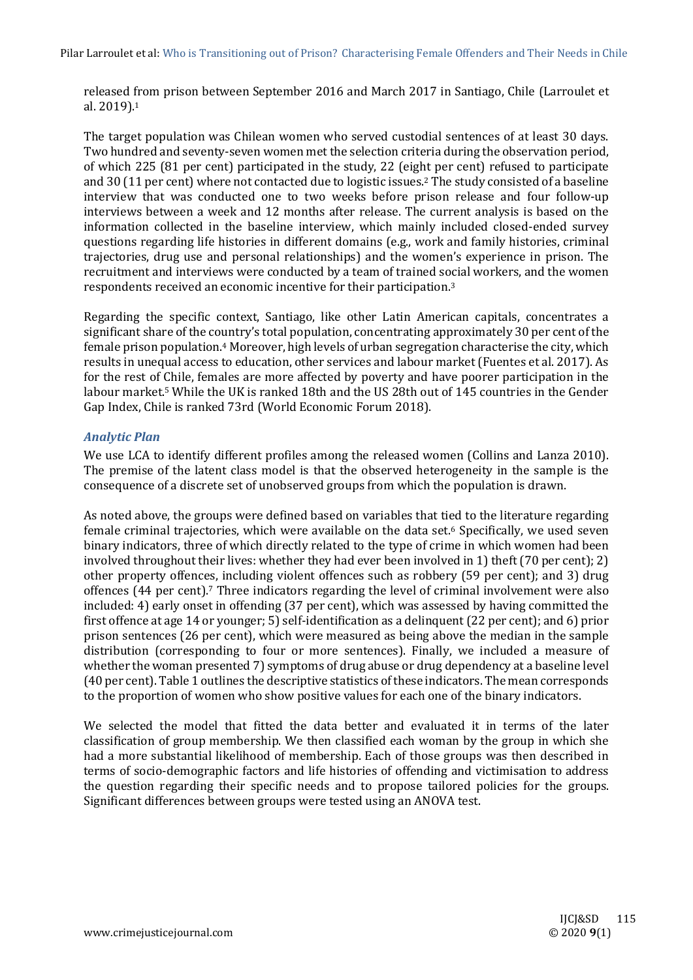released from prison between September 2016 and March 2017 in Santiago, Chile (Larroulet et al. 2019). 1

The target population was Chilean women who served custodial sentences of at least 30 days. Two hundred and seventy-seven women met the selection criteria during the observation period, of which 225 (81 per cent) participated in the study, 22 (eight per cent) refused to participate and 30 (11 per cent) where not contacted due to logistic issues.<sup>2</sup> The study consisted of a baseline interview that was conducted one to two weeks before prison release and four follow-up interviews between a week and 12 months after release. The current analysis is based on the information collected in the baseline interview, which mainly included closed-ended survey questions regarding life histories in different domains (e.g., work and family histories, criminal trajectories, drug use and personal relationships) and the women's experience in prison. The recruitment and interviews were conducted by a team of trained social workers, and the women respondents received an economic incentive for their participation.<sup>3</sup>

Regarding the specific context, Santiago, like other Latin American capitals, concentrates a significant share of the country's total population, concentrating approximately 30 per cent of the female prison population.<sup>4</sup> Moreover, high levels of urban segregation characterise the city, which results in unequal access to education, other services and labour market (Fuentes et al. 2017). As for the rest of Chile, females are more affected by poverty and have poorer participation in the labour market.<sup>5</sup> While the UK is ranked 18th and the US 28th out of 145 countries in the Gender Gap Index, Chile is ranked 73rd (World Economic Forum 2018).

#### *Analytic Plan*

We use LCA to identify different profiles among the released women (Collins and Lanza 2010). The premise of the latent class model is that the observed heterogeneity in the sample is the consequence of a discrete set of unobserved groups from which the population is drawn.

As noted above, the groups were defined based on variables that tied to the literature regarding female criminal trajectories, which were available on the data set.<sup>6</sup> Specifically, we used seven binary indicators, three of which directly related to the type of crime in which women had been involved throughout their lives: whether they had ever been involved in 1) theft (70 per cent); 2) other property offences, including violent offences such as robbery (59 per cent); and 3) drug offences (44 per cent).<sup>7</sup> Three indicators regarding the level of criminal involvement were also included: 4) early onset in offending (37 per cent), which was assessed by having committed the first offence at age 14 or younger; 5) self-identification as a delinquent (22 per cent); and 6) prior prison sentences (26 per cent), which were measured as being above the median in the sample distribution (corresponding to four or more sentences). Finally, we included a measure of whether the woman presented 7) symptoms of drug abuse or drug dependency at a baseline level (40 per cent). Table 1 outlines the descriptive statistics of these indicators. The mean corresponds to the proportion of women who show positive values for each one of the binary indicators.

We selected the model that fitted the data better and evaluated it in terms of the later classification of group membership. We then classified each woman by the group in which she had a more substantial likelihood of membership. Each of those groups was then described in terms of socio-demographic factors and life histories of offending and victimisation to address the question regarding their specific needs and to propose tailored policies for the groups. Significant differences between groups were tested using an ANOVA test.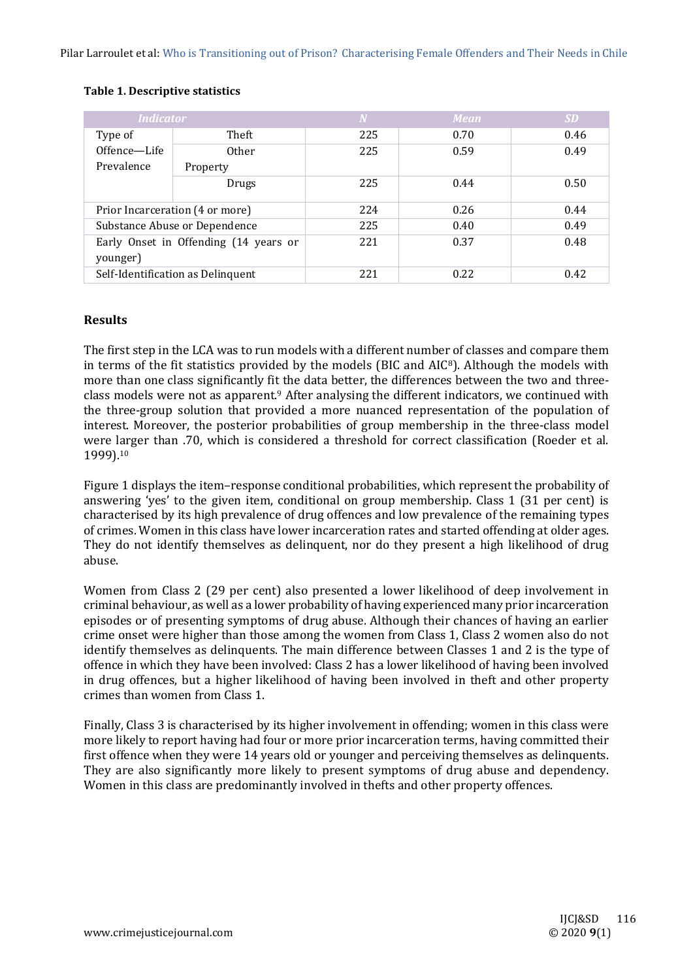| <b>Indicator</b>                                  |              | W   | <b>Mean</b> | <b>SD</b> |
|---------------------------------------------------|--------------|-----|-------------|-----------|
| Type of                                           | Theft        | 225 | 0.70        | 0.46      |
| Offence-Life                                      | <b>Other</b> | 225 | 0.59        | 0.49      |
| Prevalence                                        | Property     |     |             |           |
|                                                   | Drugs        | 225 | 0.44        | 0.50      |
| Prior Incarceration (4 or more)                   |              | 224 | 0.26        | 0.44      |
| Substance Abuse or Dependence                     |              | 225 | 0.40        | 0.49      |
| Early Onset in Offending (14 years or<br>younger) |              | 221 | 0.37        | 0.48      |
| Self-Identification as Delinquent                 |              | 221 | 0.22        | 0.42      |

#### **Table 1. Descriptive statistics**

# **Results**

The first step in the LCA was to run models with a different number of classes and compare them in terms of the fit statistics provided by the models (BIC and AIC8). Although the models with more than one class significantly fit the data better, the differences between the two and threeclass models were not as apparent.<sup>9</sup> After analysing the different indicators, we continued with the three-group solution that provided a more nuanced representation of the population of interest. Moreover, the posterior probabilities of group membership in the three-class model were larger than .70, which is considered a threshold for correct classification (Roeder et al. 1999).<sup>10</sup>

Figure 1 displays the item–response conditional probabilities, which represent the probability of answering 'yes' to the given item, conditional on group membership. Class 1 (31 per cent) is characterised by its high prevalence of drug offences and low prevalence of the remaining types of crimes. Women in this class have lower incarceration rates and started offending at older ages. They do not identify themselves as delinquent, nor do they present a high likelihood of drug abuse.

Women from Class 2 (29 per cent) also presented a lower likelihood of deep involvement in criminal behaviour, as well as a lower probability of having experienced many prior incarceration episodes or of presenting symptoms of drug abuse. Although their chances of having an earlier crime onset were higher than those among the women from Class 1, Class 2 women also do not identify themselves as delinquents. The main difference between Classes 1 and 2 is the type of offence in which they have been involved: Class 2 has a lower likelihood of having been involved in drug offences, but a higher likelihood of having been involved in theft and other property crimes than women from Class 1.

Finally, Class 3 is characterised by its higher involvement in offending; women in this class were more likely to report having had four or more prior incarceration terms, having committed their first offence when they were 14 years old or younger and perceiving themselves as delinquents. They are also significantly more likely to present symptoms of drug abuse and dependency. Women in this class are predominantly involved in thefts and other property offences.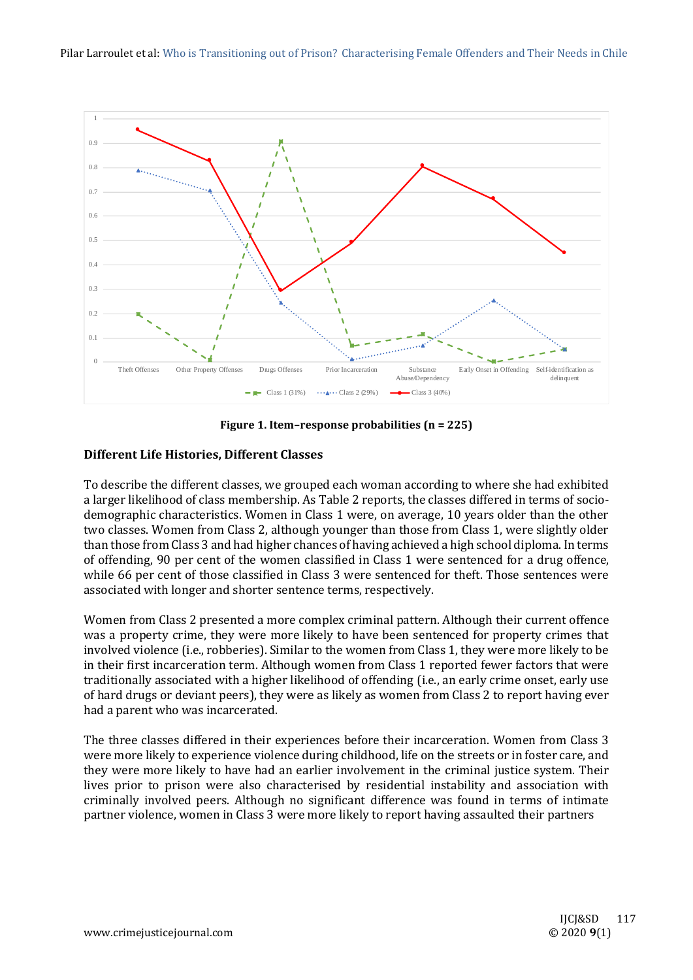

**Figure 1. Item–response probabilities (n = 225)**

# **Different Life Histories, Different Classes**

To describe the different classes, we grouped each woman according to where she had exhibited a larger likelihood of class membership. As Table 2 reports, the classes differed in terms of sociodemographic characteristics. Women in Class 1 were, on average, 10 years older than the other two classes. Women from Class 2, although younger than those from Class 1, were slightly older than those from Class 3 and had higher chances of having achieved a high school diploma. In terms of offending, 90 per cent of the women classified in Class 1 were sentenced for a drug offence, while 66 per cent of those classified in Class 3 were sentenced for theft. Those sentences were associated with longer and shorter sentence terms, respectively.

Women from Class 2 presented a more complex criminal pattern. Although their current offence was a property crime, they were more likely to have been sentenced for property crimes that involved violence (i.e., robberies). Similar to the women from Class 1, they were more likely to be in their first incarceration term. Although women from Class 1 reported fewer factors that were traditionally associated with a higher likelihood of offending (i.e., an early crime onset, early use of hard drugs or deviant peers), they were as likely as women from Class 2 to report having ever had a parent who was incarcerated.

The three classes differed in their experiences before their incarceration. Women from Class 3 were more likely to experience violence during childhood, life on the streets or in foster care, and they were more likely to have had an earlier involvement in the criminal justice system. Their lives prior to prison were also characterised by residential instability and association with criminally involved peers. Although no significant difference was found in terms of intimate partner violence, women in Class 3 were more likely to report having assaulted their partners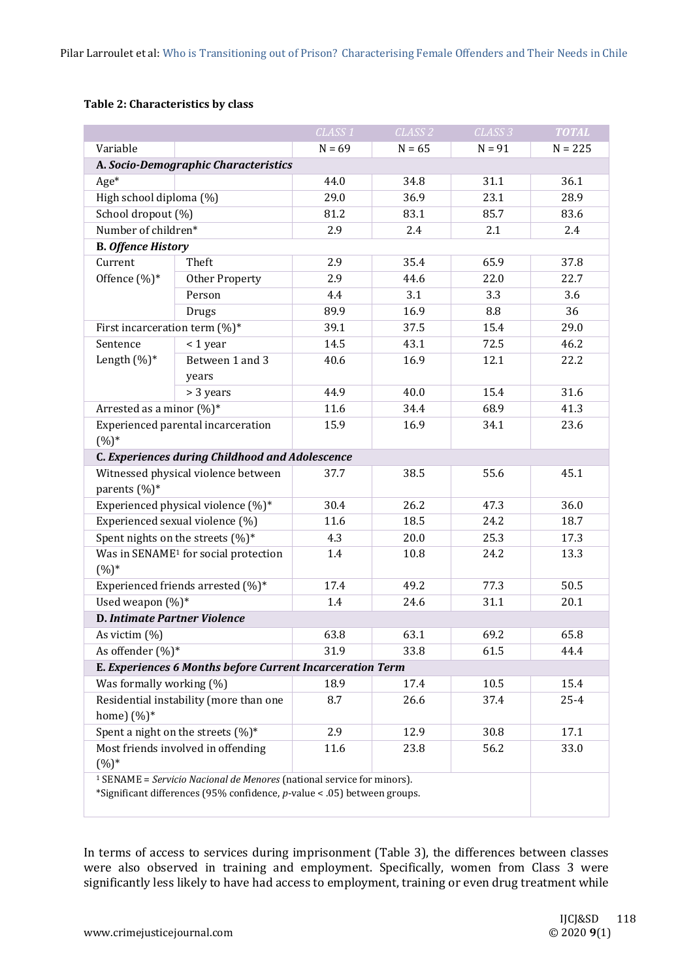# **Table 2: Characteristics by class**

|                                                                                                                                                               |                                                           | CLASS <sub>1</sub> | CLASS <sub>2</sub> | CLASS <sub>3</sub> | <b>TOTAL</b> |
|---------------------------------------------------------------------------------------------------------------------------------------------------------------|-----------------------------------------------------------|--------------------|--------------------|--------------------|--------------|
| Variable                                                                                                                                                      |                                                           | $N = 69$           | $N = 65$           | $N = 91$           | $N = 225$    |
|                                                                                                                                                               | A. Socio-Demographic Characteristics                      |                    |                    |                    |              |
| $Age*$                                                                                                                                                        |                                                           | 44.0               | 34.8               | 31.1               | 36.1         |
| High school diploma (%)                                                                                                                                       |                                                           | 29.0               | 36.9               | 23.1               | 28.9         |
| School dropout (%)                                                                                                                                            |                                                           | 81.2               | 83.1               | 85.7               | 83.6         |
| Number of children*                                                                                                                                           |                                                           | 2.9                | 2.4                | 2.1                | 2.4          |
| <b>B. Offence History</b>                                                                                                                                     |                                                           |                    |                    |                    |              |
| Current<br>Offence (%)*                                                                                                                                       | Theft                                                     | 2.9                | 35.4               | 65.9               | 37.8         |
|                                                                                                                                                               | Other Property                                            | 2.9                | 44.6               | 22.0               | 22.7         |
|                                                                                                                                                               | Person                                                    | 4.4                | 3.1                | 3.3                | 3.6          |
|                                                                                                                                                               | Drugs                                                     | 89.9               | 16.9               | 8.8                | 36           |
| First incarceration term $(\%)^*$                                                                                                                             |                                                           | 39.1               | 37.5               | 15.4               | 29.0         |
| Sentence                                                                                                                                                      | < 1 year                                                  | 14.5               | 43.1               | 72.5               | 46.2         |
| Length $(\%)^*$                                                                                                                                               | Between 1 and 3                                           | 40.6               | 16.9               | 12.1               | 22.2         |
|                                                                                                                                                               | years                                                     |                    |                    |                    |              |
|                                                                                                                                                               | > 3 years                                                 | 44.9               | 40.0<br>34.4       | 15.4               | 31.6         |
| Arrested as a minor $(\%)^*$                                                                                                                                  |                                                           | 11.6               |                    | 68.9               | 41.3         |
| Experienced parental incarceration<br>$(%)^*$                                                                                                                 |                                                           | 15.9               | 16.9               | 34.1               | 23.6         |
|                                                                                                                                                               | C. Experiences during Childhood and Adolescence           |                    |                    |                    |              |
| Witnessed physical violence between<br>parents $(\%)^*$                                                                                                       |                                                           | 37.7               | 38.5               | 55.6               | 45.1         |
| Experienced physical violence (%)*                                                                                                                            |                                                           | 30.4               | 26.2               | 47.3               | 36.0         |
| Experienced sexual violence (%)                                                                                                                               |                                                           | 11.6               | 18.5               | 24.2               | 18.7         |
| Spent nights on the streets (%)*                                                                                                                              |                                                           | 4.3                | 20.0               | 25.3               | 17.3         |
| Was in SENAME <sup>1</sup> for social protection<br>$(%)^*$                                                                                                   |                                                           | 1.4                | 10.8               | 24.2               | 13.3         |
| Experienced friends arrested (%)*                                                                                                                             |                                                           | 17.4               | 49.2               | 77.3               | 50.5         |
| Used weapon $(%)^*$                                                                                                                                           |                                                           | 1.4                | 24.6               | 31.1               | 20.1         |
| <b>D. Intimate Partner Violence</b>                                                                                                                           |                                                           |                    |                    |                    |              |
| As victim $(\%)$                                                                                                                                              |                                                           | 63.8               | 63.1               | 69.2               | 65.8         |
| As offender (%)*                                                                                                                                              |                                                           | 31.9               | 33.8               | 61.5               | 44.4         |
|                                                                                                                                                               | E. Experiences 6 Months before Current Incarceration Term |                    |                    |                    |              |
| Was formally working (%)                                                                                                                                      |                                                           | 18.9               | 17.4               | 10.5               | 15.4         |
| Residential instability (more than one<br>home) $(\%)^*$                                                                                                      |                                                           | 8.7                | 26.6               | 37.4               | $25 - 4$     |
| Spent a night on the streets (%)*                                                                                                                             |                                                           | 2.9                | 12.9               | 30.8               | 17.1         |
| Most friends involved in offending<br>$(%)^*$                                                                                                                 |                                                           | 11.6               | 23.8               | 56.2               | 33.0         |
| <sup>1</sup> SENAME = Servicio Nacional de Menores (national service for minors).<br>*Significant differences (95% confidence, p-value < .05) between groups. |                                                           |                    |                    |                    |              |

In terms of access to services during imprisonment (Table 3), the differences between classes were also observed in training and employment. Specifically, women from Class 3 were significantly less likely to have had access to employment, training or even drug treatment while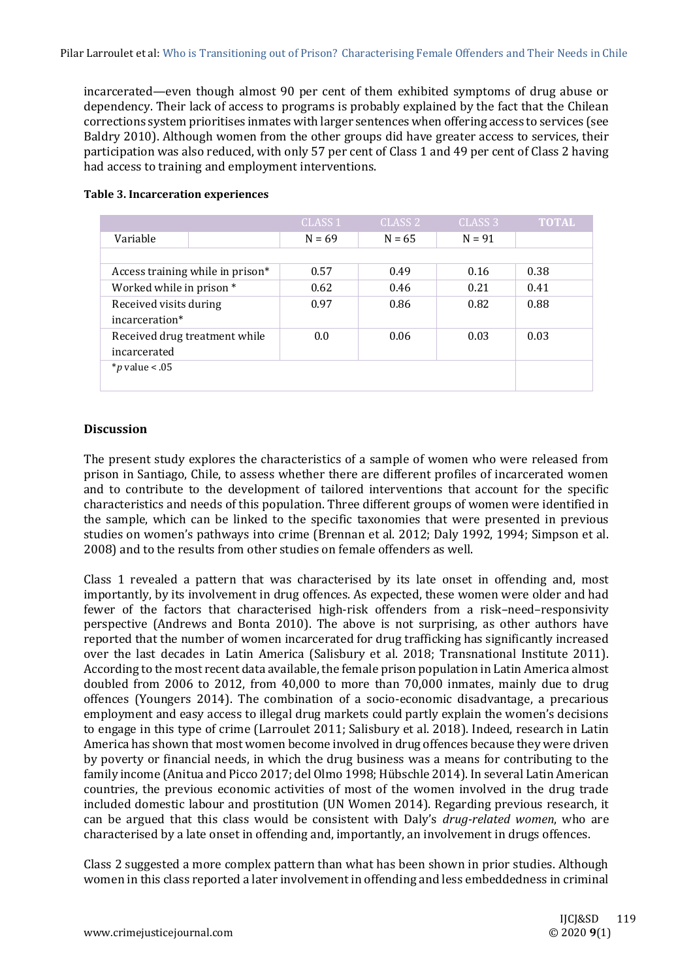incarcerated—even though almost 90 per cent of them exhibited symptoms of drug abuse or dependency. Their lack of access to programs is probably explained by the fact that the Chilean corrections system prioritises inmates with larger sentences when offering access to services (see Baldry 2010). Although women from the other groups did have greater access to services, their participation was also reduced, with only 57 per cent of Class 1 and 49 per cent of Class 2 having had access to training and employment interventions.

|                                  |  | CLASS <sub>1</sub> | CLASS <sub>2</sub> | CLASS <sub>3</sub> | <b>TOTAL</b> |
|----------------------------------|--|--------------------|--------------------|--------------------|--------------|
| Variable                         |  | $N = 69$           | $N = 65$           | $N = 91$           |              |
|                                  |  |                    |                    |                    |              |
| Access training while in prison* |  | 0.57               | 0.49               | 0.16               | 0.38         |
| Worked while in prison *         |  | 0.62               | 0.46               | 0.21               | 0.41         |
| Received visits during           |  | 0.97               | 0.86               | 0.82               | 0.88         |
| incarceration*                   |  |                    |                    |                    |              |
| Received drug treatment while    |  | 0.0                | 0.06               | 0.03               | 0.03         |
| incarcerated                     |  |                    |                    |                    |              |
| <i>*p</i> value < .05            |  |                    |                    |                    |              |
|                                  |  |                    |                    |                    |              |

#### **Table 3. Incarceration experiences**

# **Discussion**

The present study explores the characteristics of a sample of women who were released from prison in Santiago, Chile, to assess whether there are different profiles of incarcerated women and to contribute to the development of tailored interventions that account for the specific characteristics and needs of this population. Three different groups of women were identified in the sample, which can be linked to the specific taxonomies that were presented in previous studies on women's pathways into crime (Brennan et al. 2012; Daly 1992, 1994; Simpson et al. 2008) and to the results from other studies on female offenders as well.

Class 1 revealed a pattern that was characterised by its late onset in offending and, most importantly, by its involvement in drug offences. As expected, these women were older and had fewer of the factors that characterised high-risk offenders from a risk–need–responsivity perspective (Andrews and Bonta 2010). The above is not surprising, as other authors have reported that the number of women incarcerated for drug trafficking has significantly increased over the last decades in Latin America (Salisbury et al. 2018; Transnational Institute 2011). According to the most recent data available, the female prison population in Latin America almost doubled from 2006 to 2012, from 40,000 to more than 70,000 inmates, mainly due to drug offences (Youngers 2014). The combination of a socio-economic disadvantage, a precarious employment and easy access to illegal drug markets could partly explain the women's decisions to engage in this type of crime (Larroulet 2011; Salisbury et al. 2018). Indeed, research in Latin America has shown that most women become involved in drug offences because they were driven by poverty or financial needs, in which the drug business was a means for contributing to the family income (Anitua and Picco 2017; del Olmo 1998; Hübschle 2014). In several Latin American countries, the previous economic activities of most of the women involved in the drug trade included domestic labour and prostitution (UN Women 2014). Regarding previous research, it can be argued that this class would be consistent with Daly's *drug-related women*, who are characterised by a late onset in offending and, importantly, an involvement in drugs offences.

Class 2 suggested a more complex pattern than what has been shown in prior studies. Although women in this class reported a later involvement in offending and less embeddedness in criminal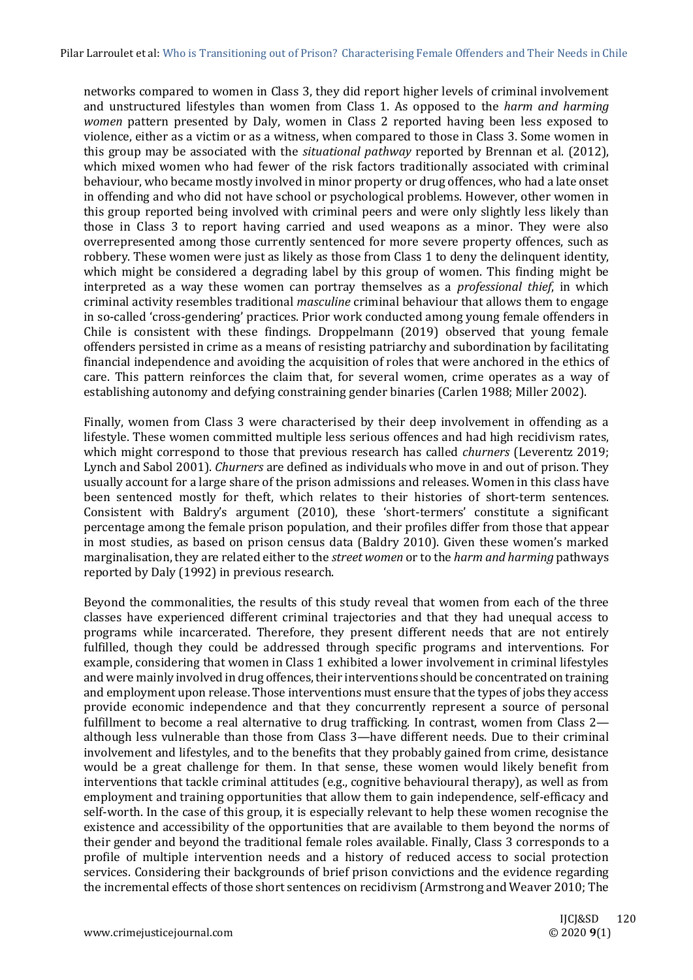networks compared to women in Class 3, they did report higher levels of criminal involvement and unstructured lifestyles than women from Class 1. As opposed to the *harm and harming women* pattern presented by Daly, women in Class 2 reported having been less exposed to violence, either as a victim or as a witness, when compared to those in Class 3. Some women in this group may be associated with the *situational pathway* reported by Brennan et al. (2012), which mixed women who had fewer of the risk factors traditionally associated with criminal behaviour, who became mostly involved in minor property or drug offences, who had a late onset in offending and who did not have school or psychological problems. However, other women in this group reported being involved with criminal peers and were only slightly less likely than those in Class 3 to report having carried and used weapons as a minor. They were also overrepresented among those currently sentenced for more severe property offences, such as robbery. These women were just as likely as those from Class 1 to deny the delinquent identity, which might be considered a degrading label by this group of women. This finding might be interpreted as a way these women can portray themselves as a *professional thief*, in which criminal activity resembles traditional *masculine* criminal behaviour that allows them to engage in so-called 'cross-gendering' practices. Prior work conducted among young female offenders in Chile is consistent with these findings. Droppelmann (2019) observed that young female offenders persisted in crime as a means of resisting patriarchy and subordination by facilitating financial independence and avoiding the acquisition of roles that were anchored in the ethics of care. This pattern reinforces the claim that, for several women, crime operates as a way of establishing autonomy and defying constraining gender binaries (Carlen 1988; Miller 2002).

Finally, women from Class 3 were characterised by their deep involvement in offending as a lifestyle. These women committed multiple less serious offences and had high recidivism rates, which might correspond to those that previous research has called *churners* (Leverentz 2019; Lynch and Sabol 2001). *Churners* are defined as individuals who move in and out of prison. They usually account for a large share of the prison admissions and releases. Women in this class have been sentenced mostly for theft, which relates to their histories of short-term sentences. Consistent with Baldry's argument (2010), these 'short-termers' constitute a significant percentage among the female prison population, and their profiles differ from those that appear in most studies, as based on prison census data (Baldry 2010). Given these women's marked marginalisation, they are related either to the *street women* or to the *harm and harming* pathways reported by Daly (1992) in previous research.

Beyond the commonalities, the results of this study reveal that women from each of the three classes have experienced different criminal trajectories and that they had unequal access to programs while incarcerated. Therefore, they present different needs that are not entirely fulfilled, though they could be addressed through specific programs and interventions. For example, considering that women in Class 1 exhibited a lower involvement in criminal lifestyles and were mainly involved in drug offences, their interventions should be concentrated on training and employment upon release. Those interventions must ensure that the types of jobs they access provide economic independence and that they concurrently represent a source of personal fulfillment to become a real alternative to drug trafficking. In contrast, women from Class 2 although less vulnerable than those from Class 3—have different needs. Due to their criminal involvement and lifestyles, and to the benefits that they probably gained from crime, desistance would be a great challenge for them. In that sense, these women would likely benefit from interventions that tackle criminal attitudes (e.g., cognitive behavioural therapy), as well as from employment and training opportunities that allow them to gain independence, self-efficacy and self-worth. In the case of this group, it is especially relevant to help these women recognise the existence and accessibility of the opportunities that are available to them beyond the norms of their gender and beyond the traditional female roles available. Finally, Class 3 corresponds to a profile of multiple intervention needs and a history of reduced access to social protection services. Considering their backgrounds of brief prison convictions and the evidence regarding the incremental effects of those short sentences on recidivism (Armstrong and Weaver 2010; The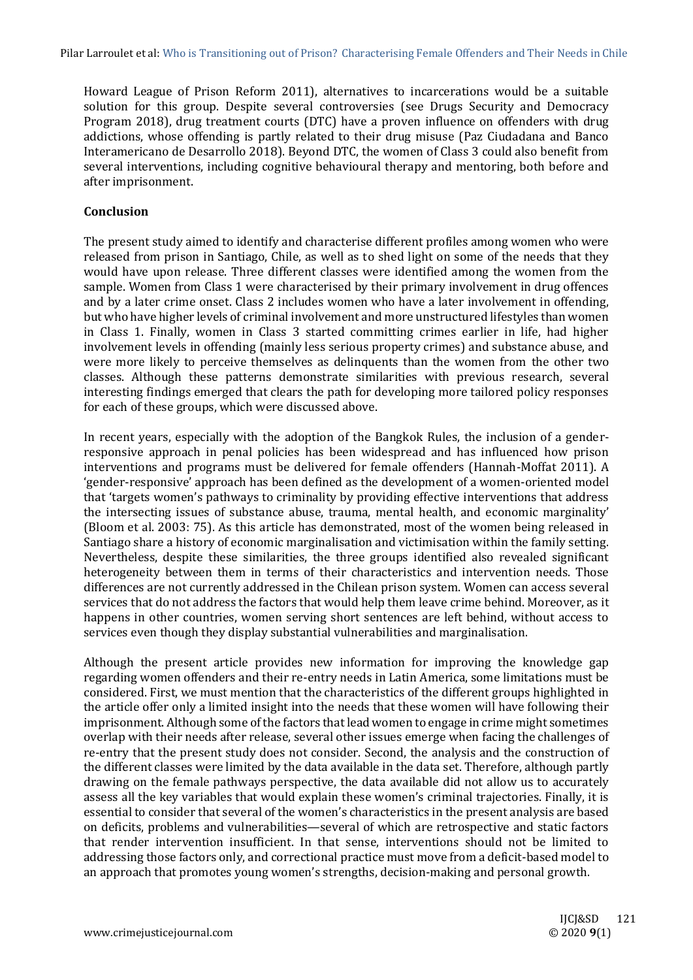Howard League of Prison Reform 2011), alternatives to incarcerations would be a suitable solution for this group. Despite several controversies (see Drugs Security and Democracy Program 2018), drug treatment courts (DTC) have a proven influence on offenders with drug addictions, whose offending is partly related to their drug misuse (Paz Ciudadana and Banco Interamericano de Desarrollo 2018). Beyond DTC, the women of Class 3 could also benefit from several interventions, including cognitive behavioural therapy and mentoring, both before and after imprisonment.

# **Conclusion**

The present study aimed to identify and characterise different profiles among women who were released from prison in Santiago, Chile, as well as to shed light on some of the needs that they would have upon release. Three different classes were identified among the women from the sample. Women from Class 1 were characterised by their primary involvement in drug offences and by a later crime onset. Class 2 includes women who have a later involvement in offending, but who have higher levels of criminal involvement and more unstructured lifestyles than women in Class 1. Finally, women in Class 3 started committing crimes earlier in life, had higher involvement levels in offending (mainly less serious property crimes) and substance abuse, and were more likely to perceive themselves as delinquents than the women from the other two classes. Although these patterns demonstrate similarities with previous research, several interesting findings emerged that clears the path for developing more tailored policy responses for each of these groups, which were discussed above.

In recent years, especially with the adoption of the Bangkok Rules, the inclusion of a genderresponsive approach in penal policies has been widespread and has influenced how prison interventions and programs must be delivered for female offenders (Hannah-Moffat 2011). A 'gender-responsive' approach has been defined as the development of a women-oriented model that 'targets women's pathways to criminality by providing effective interventions that address the intersecting issues of substance abuse, trauma, mental health, and economic marginality' (Bloom et al. 2003: 75). As this article has demonstrated, most of the women being released in Santiago share a history of economic marginalisation and victimisation within the family setting. Nevertheless, despite these similarities, the three groups identified also revealed significant heterogeneity between them in terms of their characteristics and intervention needs. Those differences are not currently addressed in the Chilean prison system. Women can access several services that do not address the factors that would help them leave crime behind. Moreover, as it happens in other countries, women serving short sentences are left behind, without access to services even though they display substantial vulnerabilities and marginalisation.

Although the present article provides new information for improving the knowledge gap regarding women offenders and their re-entry needs in Latin America, some limitations must be considered. First, we must mention that the characteristics of the different groups highlighted in the article offer only a limited insight into the needs that these women will have following their imprisonment. Although some of the factors that lead women to engage in crime might sometimes overlap with their needs after release, several other issues emerge when facing the challenges of re-entry that the present study does not consider. Second, the analysis and the construction of the different classes were limited by the data available in the data set. Therefore, although partly drawing on the female pathways perspective, the data available did not allow us to accurately assess all the key variables that would explain these women's criminal trajectories. Finally, it is essential to consider that several of the women's characteristics in the present analysis are based on deficits, problems and vulnerabilities—several of which are retrospective and static factors that render intervention insufficient. In that sense, interventions should not be limited to addressing those factors only, and correctional practice must move from a deficit-based model to an approach that promotes young women's strengths, decision-making and personal growth.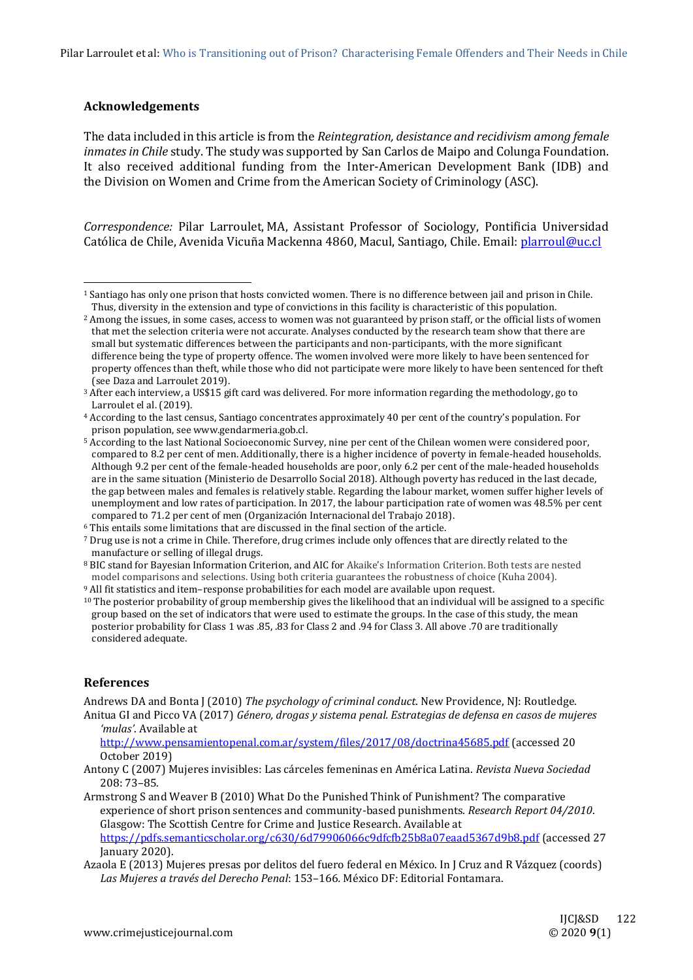# **Acknowledgements**

The data included in this article is from the *Reintegration, desistance and recidivism among female inmates in Chile* study. The study was supported by San Carlos de Maipo and Colunga Foundation. It also received additional funding from the Inter-American Development Bank (IDB) and the Division on Women and Crime from the American Society of Criminology (ASC).

*Correspondence:* Pilar Larroulet, MA, Assistant Professor of Sociology, Pontificia Universidad Católica de Chile, Avenida Vicuña Mackenna 4860, Macul, Santiago, Chile. Email: [plarroul@uc.cl](mailto:plarroul@uc.cl)

#### **References**

Andrews DA and Bonta J (2010) *The psychology of criminal conduct*. New Providence, NJ: Routledge. Anitua GI and Picco VA (2017) *Género, drogas y sistema penal. Estrategias de defensa en casos de mujeres* 

<http://www.pensamientopenal.com.ar/system/files/2017/08/doctrina45685.pdf> (accessed 20 October 2019)

<https://pdfs.semanticscholar.org/c630/6d79906066c9dfcfb25b8a07eaad5367d9b8.pdf> (accessed 27 January 2020).

<sup>1</sup> Santiago has only one prison that hosts convicted women. There is no difference between jail and prison in Chile. Thus, diversity in the extension and type of convictions in this facility is characteristic of this population.

<sup>&</sup>lt;sup>2</sup> Among the issues, in some cases, access to women was not guaranteed by prison staff, or the official lists of women that met the selection criteria were not accurate. Analyses conducted by the research team show that there are small but systematic differences between the participants and non-participants, with the more significant difference being the type of property offence. The women involved were more likely to have been sentenced for property offences than theft, while those who did not participate were more likely to have been sentenced for theft (see Daza and Larroulet 2019).

<sup>3</sup> After each interview, a US\$15 gift card was delivered. For more information regarding the methodology, go to Larroulet el al. (2019).

<sup>4</sup> According to the last census, Santiago concentrates approximately 40 per cent of the country's population. For prison population, see www.gendarmeria.gob.cl.

<sup>5</sup> According to the last National Socioeconomic Survey, nine per cent of the Chilean women were considered poor, compared to 8.2 per cent of men. Additionally, there is a higher incidence of poverty in female-headed households. Although 9.2 per cent of the female-headed households are poor, only 6.2 per cent of the male-headed households are in the same situation (Ministerio de Desarrollo Social 2018). Although poverty has reduced in the last decade, the gap between males and females is relatively stable. Regarding the labour market, women suffer higher levels of unemployment and low rates of participation. In 2017, the labour participation rate of women was 48.5% per cent compared to 71.2 per cent of men (Organización Internacional del Trabajo 2018).

<sup>6</sup> This entails some limitations that are discussed in the final section of the article.

<sup>7</sup> Drug use is not a crime in Chile. Therefore, drug crimes include only offences that are directly related to the manufacture or selling of illegal drugs.

<sup>8</sup> BIC stand for Bayesian Information Criterion, and AIC for Akaike's Information Criterion. Both tests are nested model comparisons and selections. Using both criteria guarantees the robustness of choice (Kuha 2004).

<sup>9</sup> All fit statistics and item–response probabilities for each model are available upon request.

<sup>&</sup>lt;sup>10</sup> The posterior probability of group membership gives the likelihood that an individual will be assigned to a specific group based on the set of indicators that were used to estimate the groups. In the case of this study, the mean posterior probability for Class 1 was .85, .83 for Class 2 and .94 for Class 3. All above .70 are traditionally considered adequate.

*<sup>&#</sup>x27;mulas'*. Available a[t](file:///C:/Users/creaght/AppData/Local/Microsoft/Windows/INetCache/Content.Outlook/8FQBLSQ6/)

Antony C (2007) Mujeres invisibles: Las cárceles femeninas en América Latina. *Revista Nueva Sociedad* 208: 73–85.

Armstrong S and Weaver B (2010) What Do the Punished Think of Punishment? The comparative experience of short prison sentences and community-based punishments. *Research Report 04/2010*. Glasgow: The Scottish Centre for Crime and Justice Research. Available at

Azaola E (2013) Mujeres presas por delitos del fuero federal en México. In J Cruz and R Vázquez (coords) *Las Mujeres a través del Derecho Penal*: 153–166*.* México DF: Editorial Fontamara.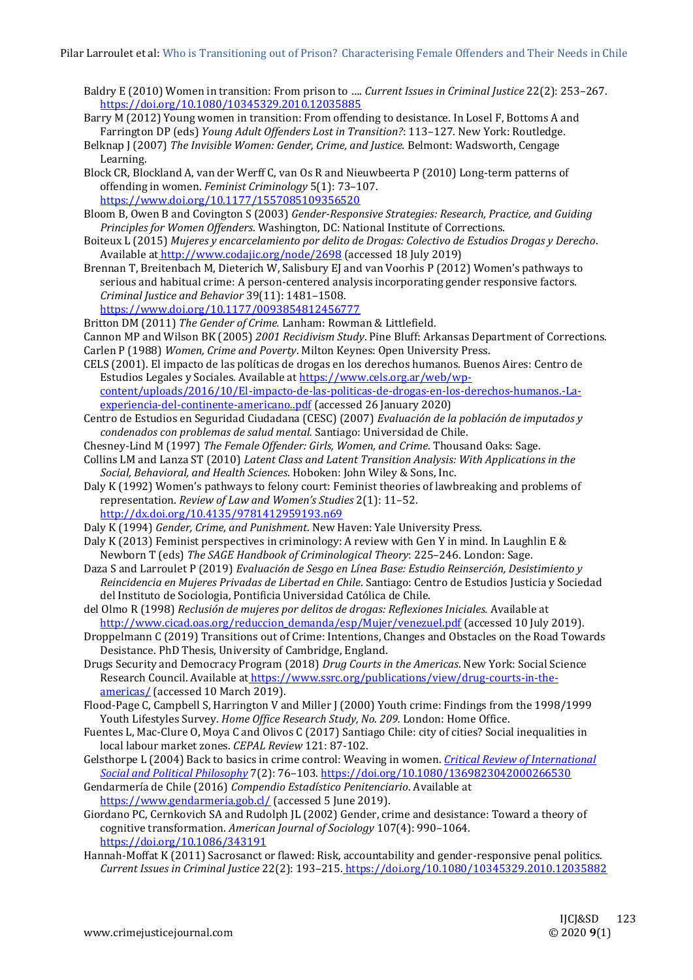- Baldry E (2010) Women in transition: From prison to …. *Current Issues in Criminal Justice* 22(2): 253–267. <https://doi.org/10.1080/10345329.2010.12035885>
- Barry M (2012) Young women in transition: From offending to desistance. In Losel F, Bottoms A and Farrington DP (eds) *Young Adult Offenders Lost in Transition?*: 113–127*.* New York: Routledge.
- Belknap J (2007) *The Invisible Women: Gender, Crime, and Justice.* Belmont: Wadsworth, Cengage Learning.
- Block CR, Blockland A, van der Werff C, van Os R and Nieuwbeerta P (2010) Long-term patterns of offending in women. *Feminist Criminology* 5(1): 73–107. <https://www.doi.org/10.1177/1557085109356520>

- Bloom B, Owen B and Covington S (2003) *Gender-Responsive Strategies: Research, Practice, and Guiding Principles for Women Offenders*. Washington, DC: National Institute of Corrections.
- Boiteux L (2015) *Mujeres y encarcelamiento por delito de Drogas: Colectivo de Estudios Drogas y Derecho*. Available at <http://www.codajic.org/node/2698> (accessed 18 July 2019)
- Brennan T, Breitenbach M, Dieterich W, Salisbury EJ and van Voorhis P (2012) Women's pathways to serious and habitual crime: A person-centered analysis incorporating gender responsive factors. *Criminal Justice and Behavior* 39(11): 1481–1508. <https://www.doi.org/10.1177/0093854812456777>
- Britton DM (2011) *The Gender of Crime.* Lanham: Rowman & Littlefield.
- Cannon MP and Wilson BK (2005) *2001 Recidivism Study*. Pine Bluff: Arkansas Department of Corrections. Carlen P (1988) *Women, Crime and Poverty*. Milton Keynes: Open University Press.
- CELS (2001). El impacto de las políticas de drogas en los derechos humanos. Buenos Aires: Centro de Estudios Legales y Sociales. Available a[t https://www.cels.org.ar/web/wp](https://www.cels.org.ar/web/wp-content/uploads/2016/10/El-impacto-de-las-politicas-de-drogas-en-los-derechos-humanos.-La-experiencia-del-continente-americano..pdf)[content/uploads/2016/10/El-impacto-de-las-politicas-de-drogas-en-los-derechos-humanos.-La](https://www.cels.org.ar/web/wp-content/uploads/2016/10/El-impacto-de-las-politicas-de-drogas-en-los-derechos-humanos.-La-experiencia-del-continente-americano..pdf)[experiencia-del-continente-americano..pdf](https://www.cels.org.ar/web/wp-content/uploads/2016/10/El-impacto-de-las-politicas-de-drogas-en-los-derechos-humanos.-La-experiencia-del-continente-americano..pdf) (accessed 26 January 2020)
- Centro de Estudios en Seguridad Ciudadana (CESC) (2007) *Evaluación de la población de imputados y condenados con problemas de salud mental.* Santiago: Universidad de Chile.
- Chesney-Lind M (1997) *The Female Offender: Girls, Women, and Crime*. Thousand Oaks: Sage.
- Collins LM and Lanza ST (2010) *Latent Class and Latent Transition Analysis: With Applications in the Social, Behavioral, and Health Sciences*. Hoboken: John Wiley & Sons, Inc.
- Daly K (1992) Women's pathways to felony court: Feminist theories of lawbreaking and problems of representation. *Review of Law and Women's Studies* 2(1): 11–52. <http://dx.doi.org/10.4135/9781412959193.n69>
- Daly K (1994) *Gender, Crime, and Punishment*. New Haven: Yale University Press.
- Daly K (2013) Feminist perspectives in criminology: A review with Gen Y in mind. In Laughlin E & Newborn T (eds) *The SAGE Handbook of Criminological Theory*: 225–246. London: Sage.
- Daza S and Larroulet P (2019) *Evaluación de Sesgo en Línea Base: Estudio Reinserción, Desistimiento y Reincidencia en Mujeres Privadas de Libertad en Chile*. Santiago: Centro de Estudios Justicia y Sociedad del Instituto de Sociologia, Pontificia Universidad Católica de Chile.
- del Olmo R (1998) *Reclusión de mujeres por delitos de drogas: Reflexiones Iniciales.* Available a[t](file:///C:/Users/creaght/AppData/Local/Microsoft/Windows/INetCache/Content.Outlook/8FQBLSQ6/) [http://www.cicad.oas.org/reduccion\\_demanda/esp/Mujer/venezuel.pdf](http://www.cicad.oas.org/reduccion_demanda/esp/Mujer/venezuel.pdf) (accessed 10 July 2019).
- Droppelmann C (2019) Transitions out of Crime: Intentions, Changes and Obstacles on the Road Towards Desistance. PhD Thesis, University of Cambridge, England.
- Drugs Security and Democracy Program (2018) *Drug Courts in the Americas*. New York: Social Science Research Council. Available at [https://www.ssrc.org/publications/view/drug-courts-in-the](https://www.ssrc.org/publications/view/drug-courts-in-the-americas/)[americas/](https://www.ssrc.org/publications/view/drug-courts-in-the-americas/) (accessed 10 March 2019).
- Flood-Page C, Campbell S, Harrington V and Miller J (2000) Youth crime: Findings from the 1998/1999 Youth Lifestyles Survey. *Home Office Research Study, No. 209.* London: Home Office.
- Fuentes L, Mac-Clure O, Moya C and Olivos C (2017) Santiago Chile: city of cities? Social inequalities in local labour market zones. *CEPAL Review* 121: 87-102.
- Gelsthorpe L (2004) Back to basics in crime control: Weaving in women. *[Critical Review of International](https://philpapers.org/asearch.pl?pub=1516)  [Social and Political Philosophy](https://philpapers.org/asearch.pl?pub=1516)* 7(2): 76–103.<https://doi.org/10.1080/1369823042000266530>
- Gendarmería de Chile (2016) *Compendio Estadístico Penitenciario*. Available a[t](https://www.gendarmeria.gob.cl/) <https://www.gendarmeria.gob.cl/> (accessed 5 June 2019).
- Giordano PC, Cernkovich SA and Rudolph JL (2002) Gender, crime and desistance: Toward a theory of cognitive transformation. *American Journal of Sociology* 107(4): 990–1064. <https://doi.org/10.1086/343191>
- Hannah-Moffat K (2011) Sacrosanct or flawed: Risk, accountability and gender-responsive penal politics. *Current Issues in Criminal Justice* 22(2): 193–215. [https://doi.org/10.1080/10345329.2010.12035882](https://doi.org/10.1017/CBO9781107415324.004)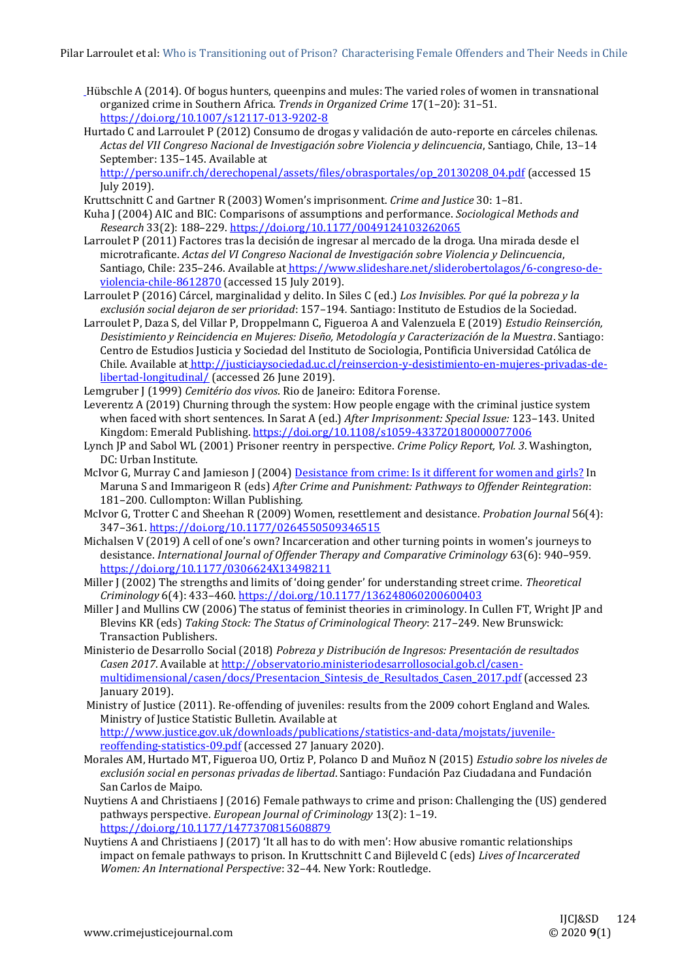- [H](https://doi.org/10.1017/CBO9781107415324.004)übschle A (2014). Of bogus hunters, queenpins and mules: The varied roles of women in transnational organized crime in Southern Africa. *Trends in Organized Crime* 17(1–20): 31–51. <https://doi.org/10.1007/s12117-013-9202-8>
- Hurtado C and Larroulet P (2012) Consumo de drogas y validación de auto-reporte en cárceles chilenas. *Actas del VII Congreso Nacional de Investigación sobre Violencia y delincuencia*, Santiago, Chile, 13–14 September: 135–145. Available a[t](http://perso.unifr.ch/derechopenal/assets/files/obrasportales/op_20130208_04.pdf)

[http://perso.unifr.ch/derechopenal/assets/files/obrasportales/op\\_20130208\\_04.pdf](http://perso.unifr.ch/derechopenal/assets/files/obrasportales/op_20130208_04.pdf) (accessed 15 July 2019).

- Kruttschnitt C and Gartner R (2003) Women's imprisonment. *Crime and Justice* 30: 1–81.
- Kuha J (2004) AIC and BIC: Comparisons of assumptions and performance. *Sociological Methods and Research* 33(2): 188–229.<https://doi.org/10.1177/0049124103262065>
- Larroulet P (2011) Factores tras la decisión de ingresar al mercado de la droga. Una mirada desde el microtraficante. *Actas del VI Congreso Nacional de Investigación sobre Violencia y Delincuencia*, Santiago, Chile: 235–246. Available at [https://www.slideshare.net/sliderobertolagos/6-congreso-de](https://www.slideshare.net/sliderobertolagos/6-congreso-de-violencia-chile-8612870)[violencia-chile-8612870](https://www.slideshare.net/sliderobertolagos/6-congreso-de-violencia-chile-8612870) (accessed 15 July 2019).
- Larroulet P (2016) Cárcel, marginalidad y delito. In Siles C (ed.) *Los Invisibles. Por qué la pobreza y la exclusión social dejaron de ser prioridad*: 157–194*.* Santiago: Instituto de Estudios de la Sociedad.
- Larroulet P, Daza S, del Villar P, Droppelmann C, Figueroa A and Valenzuela E (2019) *Estudio Reinserción, Desistimiento y Reincidencia en Mujeres: Diseño, Metodología y Caracterización de la Muestra*. Santiago: Centro de Estudios Justicia y Sociedad del Instituto de Sociologia, Pontificia Universidad Católica de Chile. Available a[t](http://justiciaysociedad.uc.cl/reinsercion-y-desistimiento-en-mujeres-privadas-de-libertad-longitudinal/) [http://justiciaysociedad.uc.cl/reinsercion-y-desistimiento-en-mujeres-privadas-de](http://justiciaysociedad.uc.cl/reinsercion-y-desistimiento-en-mujeres-privadas-de-libertad-longitudinal/)[libertad-longitudinal/](http://justiciaysociedad.uc.cl/reinsercion-y-desistimiento-en-mujeres-privadas-de-libertad-longitudinal/) (accessed 26 June 2019).
- Lemgruber J (1999) *Cemitério dos vivos*. Rio de Janeiro: Editora Forense.
- Leverentz A (2019) Churning through the system: How people engage with the criminal justice system when faced with short sentences. In Sarat A (ed.) *After Imprisonment: Special Issue:* 123–143. United Kingdom: Emerald Publishing.<https://doi.org/10.1108/s1059-433720180000077006>
- Lynch JP and Sabol WL (2001) Prisoner reentry in perspective. *Crime Policy Report, Vol. 3*. Washington, DC: Urban Institute.
- McIvor G, Murray C and Jamieson J (2004[\) Desistance from crime: Is it different for women and girls?](http://www.research.lancs.ac.uk/portal/en/publications/desistance-from-crime--is-it-different-for-women-and-girls(92486490-e5ab-4280-9f19-498143243eef).html) In Maruna S and Immarigeon R (eds) *After Crime and Punishment: Pathways to Offender Reintegration*: 181–200*.* Cullompton: Willan Publishing.
- McIvor G, Trotter C and Sheehan R (2009) Women, resettlement and desistance. *Probation Journal* 56(4): 347–361[. https://doi.org/10.1177/0264550509346515](https://doi.org/10.1177/0264550509346515)
- Michalsen V (2019) A cell of one's own? Incarceration and other turning points in women's journeys to desistance. *International Journal of Offender Therapy and Comparative Criminology* 63(6): 940–959. <https://doi.org/10.1177/0306624X13498211>
- Miller J (2002) The strengths and limits of 'doing gender' for understanding street crime. *Theoretical Criminology* 6(4): 433–460.<https://doi.org/10.1177/136248060200600403>
- Miller J and Mullins CW (2006) The status of feminist theories in criminology. In Cullen FT, Wright JP and Blevins KR (eds) *Taking Stock: The Status of Criminological Theory*: 217–249. New Brunswick: Transaction Publishers.
- Ministerio de Desarrollo Social (2018) *Pobreza y Distribución de Ingresos: Presentación de resultados Casen 2017*. Available a[t http://observatorio.ministeriodesarrollosocial.gob.cl/casen](http://observatorio.ministeriodesarrollosocial.gob.cl/casen-multidimensional/casen/docs/Presentacion_Sintesis_de_Resultados_Casen_2017.pdf)[multidimensional/casen/docs/Presentacion\\_Sintesis\\_de\\_Resultados\\_Casen\\_2017.pdf](http://observatorio.ministeriodesarrollosocial.gob.cl/casen-multidimensional/casen/docs/Presentacion_Sintesis_de_Resultados_Casen_2017.pdf) (accessed 23 January 2019).
- Ministry of Justice (2011). Re-offending of juveniles: results from the 2009 cohort England and Wales. Ministry of Justice Statistic Bulletin. Available at [http://www.justice.gov.uk/downloads/publications/statistics-and-data/mojstats/juvenile](http://www.justice.gov.uk/downloads/publications/statistics-and-data/mojstats/juvenile-reoffending-statistics-09.pdf)[reoffending-statistics-09.pdf](http://www.justice.gov.uk/downloads/publications/statistics-and-data/mojstats/juvenile-reoffending-statistics-09.pdf) (accessed 27 January 2020).
- Morales AM, Hurtado MT, Figueroa UO, Ortiz P, Polanco D and Muñoz N (2015) *Estudio sobre los niveles de exclusión social en personas privadas de libertad*. Santiago: Fundación Paz Ciudadana and Fundación San Carlos de Maipo.
- Nuytiens A and Christiaens J (2016) Female pathways to crime and prison: Challenging the (US) gendered pathways perspective. *European Journal of Criminology* 13(2): 1–19. <https://doi.org/10.1177/1477370815608879>
- Nuytiens A and Christiaens J (2017) 'It all has to do with men': How abusive romantic relationships impact on female pathways to prison. In Kruttschnitt C and Bijleveld C (eds) *Lives of Incarcerated Women: An International Perspective*: 32–44. New York: Routledge.